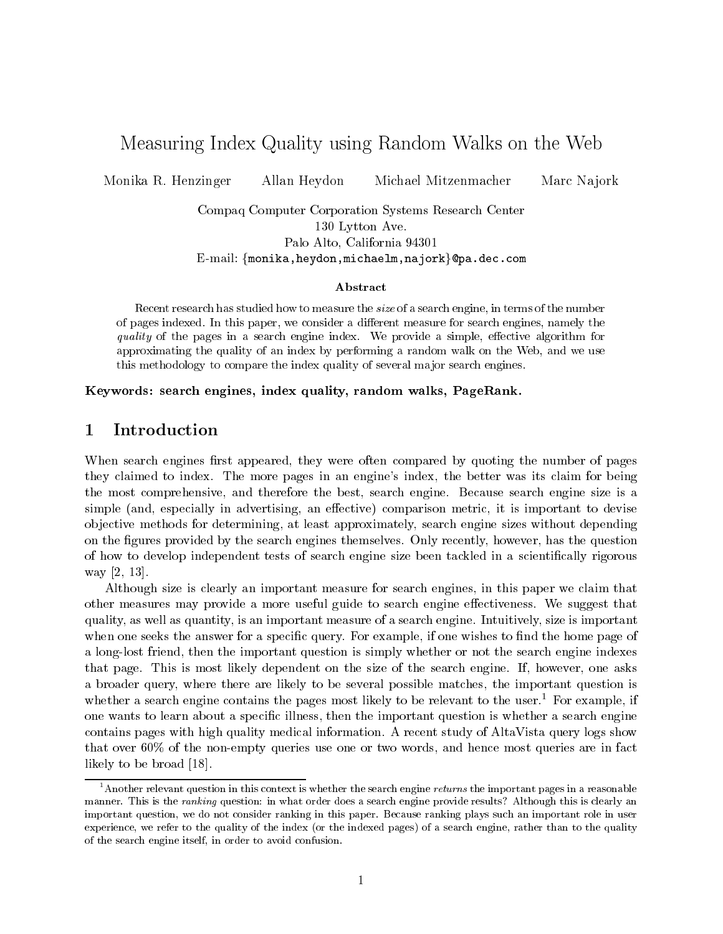# Measuring Index Quality using Random Walks on the Web

Monika R. Henzinger Allan Heydon Michael Mitzenmacher Marc Najork

Compaq Computer Corporation Systems Research Center 130 Lytton Ave. Palo Alto, California 94301 E-mail:  ${monika, heydon, michaelm, najork}$ @pa.dec.com

### Abstract

Recent research has studied how to measure the size of a search engine, in terms of the number of pages indexed. In this paper, we consider a dierent measure for search engines, namely the  $quality$  of the pages in a search engine index. We provide a simple, effective algorithm for approximating the quality of an index by performing a random walk on the Web, and we use this methodology to compare the index quality of several ma jor search engines.

### Keywords: search engines, index quality, random walks, PageRank.

## 1 Introduction

When search engines first appeared, they were often compared by quoting the number of pages they claimed to index. The more pages in an engine's index, the better was its claim for being the most comprehensive, and therefore the best, search engine. Because search engine size is a simple (and, especially in advertising, an effective) comparison metric, it is important to devise ob jective methods for determining, at least approximately, search engine sizes without depending on the gures provided by the search engines themselves. Only recently, however, has the question of how to develop independent tests of search engine size been tackled in a scientically rigorous way [2, 13].

Although size is clearly an important measure for search engines, in this paper we claim that other measures may provide a more useful guide to search engine effectiveness. We suggest that quality, as well as quantity, is an important measure of a search engine. Intuitively, size is important when one seeks the answer for a specific query. For example, if one wishes to find the home page of a long-lost friend, then the important question is simply whether or not the search engine indexes that page. This is most likely dependent on the size of the search engine. If, however, one asks a broader query, where there are likely to be several possible matches, the important question is whether a search engine contains the pages most likely to be relevant to the user.<sup>1</sup> For example, if one wants to learn about a specic illness, then the important question is whether a search engine contains pages with high quality medical information. A recent study of AltaVista query logs show that over  $60\%$  of the non-empty queries use one or two words, and hence most queries are in fact likely to be broad [18].

 $^1$ Another relevant question in this context is whether the search engine  $returns$  the important pages in a reasonable manner. This is the *ranking* question: in what order does a search engine provide results? Although this is clearly an important question, we do not consider ranking in this paper. Because ranking plays such an important role in user experience, we refer to the quality of the index (or the indexed pages) of a search engine, rather than to the quality of the search engine itself, in order to avoid confusion.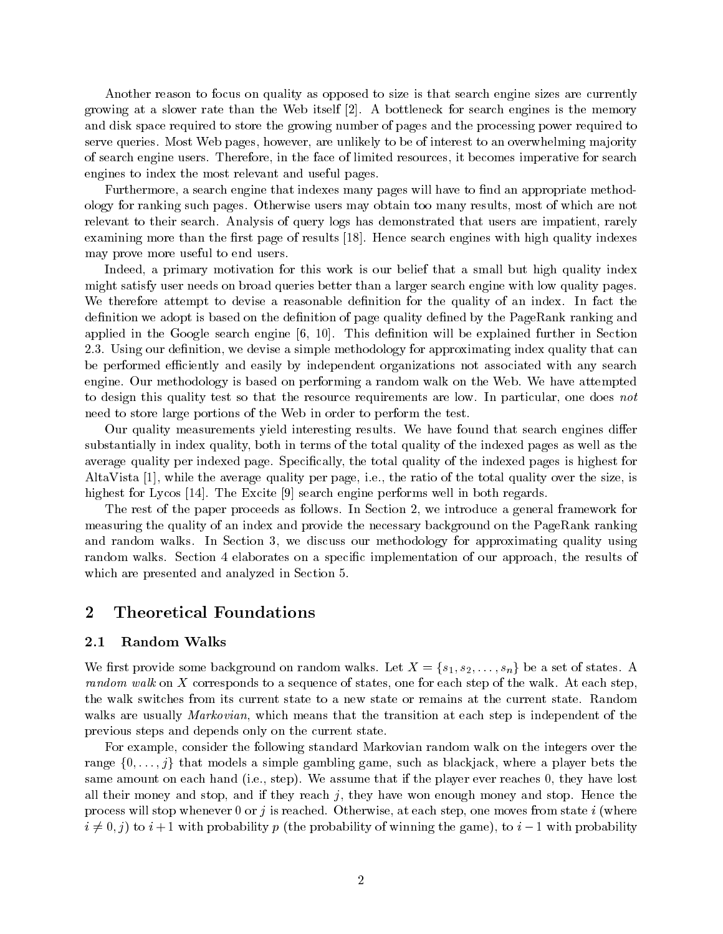Another reason to focus on quality as opposed to size is that search engine sizes are currently growing at a slower rate than the Web itself [2]. A bottleneck for search engines is the memory and disk space required to store the growing number of pages and the processing power required to serve queries. Most Web pages, however, are unlikely to be of interest to an overwhelming majority of search engine users. Therefore, in the face of limited resources, it becomes imperative for search engines to index the most relevant and useful pages.

Furthermore, a search engine that indexes many pages will have to find an appropriate methodology for ranking such pages. Otherwise users may obtain too many results, most of which are not relevant to their search. Analysis of query logs has demonstrated that users are impatient, rarely examining more than the first page of results  $[18]$ . Hence search engines with high quality indexes may prove more useful to end users.

Indeed, a primary motivation for this work is our belief that a small but high quality index might satisfy user needs on broad queries better than a larger search engine with low quality pages. We therefore attempt to devise a reasonable definition for the quality of an index. In fact the definition we adopt is based on the definition of page quality defined by the PageRank ranking and applied in the Google search engine  $[6, 10]$ . This definition will be explained further in Section 2.3. Using our definition, we devise a simple methodology for approximating index quality that can be performed efficiently and easily by independent organizations not associated with any search engine. Our methodology is based on performing a random walk on the Web. We have attempted to design this quality test so that the resource requirements are low. In particular, one does not need to store large portions of the Web in order to perform the test.

Our quality measurements yield interesting results. We have found that search engines differ substantially in index quality, both in terms of the total quality of the indexed pages as well as the average quality per indexed page. Specifically, the total quality of the indexed pages is highest for AltaVista [1], while the average quality per page, i.e., the ratio of the total quality over the size, is highest for Lycos [14]. The Excite [9] search engine performs well in both regards.

The rest of the paper proceeds as follows. In Section 2, we introduce a general framework for measuring the quality of an index and provide the necessary background on the PageRank ranking and random walks. In Section 3, we discuss our methodology for approximating quality using random walks. Section 4 elaborates on a specific implementation of our approach, the results of which are presented and analyzed in Section 5.

#### $\overline{2}$ 2 Theoretical Foundations

#### 2.1 Random Walks

We first provide some background on random walks. Let  $X = \{s_1, s_2, \ldots, s_n\}$  be a set of states. A random walk on X corresponds to a sequence of states, one for each step of the walk. At each step, the walk switches from its current state to a new state or remains at the current state. Random walks are usually *Markovian*, which means that the transition at each step is independent of the previous steps and depends only on the current state.

For example, consider the following standard Markovian random walk on the integers over the range  $\{0,\ldots,j\}$  that models a simple gambling game, such as blackjack, where a player bets the same amount on each hand (i.e., step). We assume that if the player ever reaches 0, they have lost all their money and stop, and if they reach j, they have won enough money and stop. Hence the process will stop whenever 0 or  $j$  is reached. Otherwise, at each step, one moves from state  $i$  (where  $i \neq 0, j$  to  $i + 1$  with probability p (the probability of winning the game), to  $i - 1$  with probability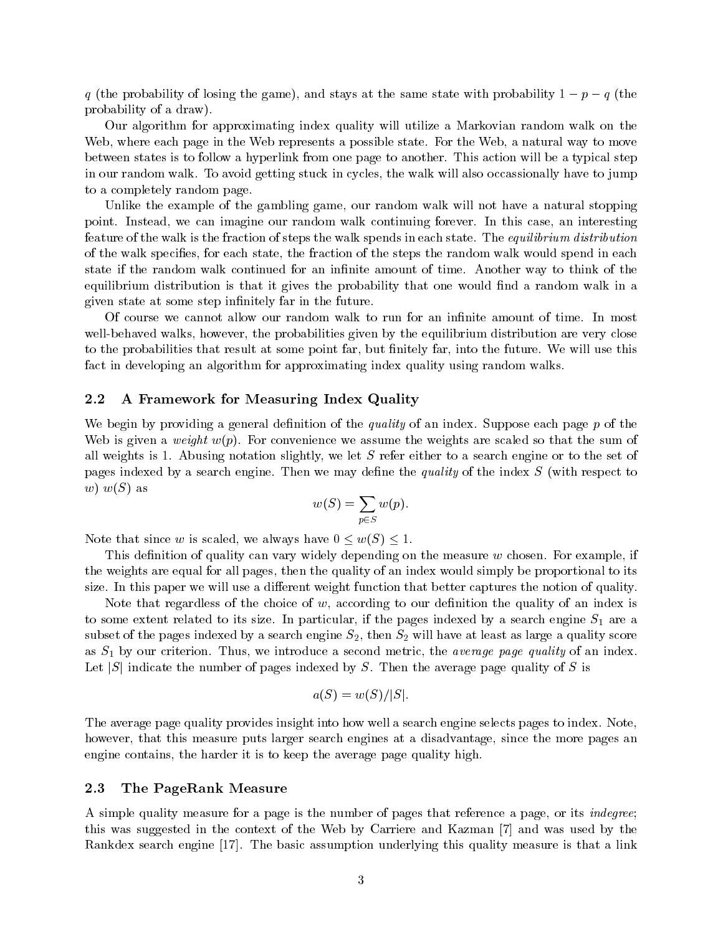q (the probability of losing the game), and stays at the same state with probability  $1 - p - q$  (the probability of a draw).

Our algorithm for approximating index quality will utilize a Markovian random walk on the Web, where each page in the Web represents a possible state. For the Web, a natural way to move between states is to followahyperlink from one page to another. This action will be a typical step in our random walk. To avoid getting stuck in cycles, the walk will also occassionally have to jump to a completely random page.

Unlike the example of the gambling game, our random walk will not have a natural stopping point. Instead, we can imagine our random walk continuing forever. In this case, an interesting feature of the walk is the fraction of steps the walk spends in each state. The equilibrium distribution of the walk species, for each state, the fraction of the steps the random walk would spend in each state if the random walk continued for an infinite amount of time. Another way to think of the equilibrium distribution is that it gives the probability that one would find a random walk in a given state at some step infinitely far in the future.

Of course we cannot allow our random walk to run for an infinite amount of time. In most well-behaved walks, however, the probabilities given by the equilibrium distribution are very close to the probabilities that result at some point far, but finitely far, into the future. We will use this fact in developing an algorithm for approximating index quality using random walks.

#### 2.2 A Framework for Measuring Index Quality

We begin by providing a general definition of the *quality* of an index. Suppose each page  $p$  of the Web is given a weight  $w(p)$ . For convenience we assume the weights are scaled so that the sum of all weights is 1. Abusing notation slightly, we let  $S$  refer either to a search engine or to the set of pages indexed by a search engine. Then we may define the quality of the index  $S$  (with respect to w)  $w(S)$  as

$$
w(S) = \sum_{p \in S} w(p).
$$

Note that since w is scaled, we always have  $0 \leq w(S) \leq 1$ .

This definition of quality can vary widely depending on the measure  $w$  chosen. For example, if the weights are equal for all pages, then the quality of an index would simply be proportional to its size. In this paper we will use a different weight function that better captures the notion of quality.

Note that regardless of the choice of  $w$ , according to our definition the quality of an index is to some extent related to its size. In particular, if the pages indexed by a search engine  $S_1$  are a subset of the pages indexed by a search engine  $S_2$ , then  $S_2$  will have at least as large a quality score as  $S_1$  by our criterion. Thus, we introduce a second metric, the *average page quality* of an index. Let  $|S|$  indicate the number of pages indexed by S. Then the average page quality of S is

$$
a(S) = w(S)/|S|.
$$

The average page quality provides insight into how well a search engine selects pages to index. Note, however, that this measure puts larger search engines at a disadvantage, since the more pages an engine contains, the harder it is to keep the average page quality high.

#### 2.3 The PageRank Measure

A simple quality measure for a page is the number of pages that reference a page, or its indegree; this was suggested in the context of the Web by Carriere and Kazman [7] and was used by the Rankdex search engine [17]. The basic assumption underlying this quality measure is that a link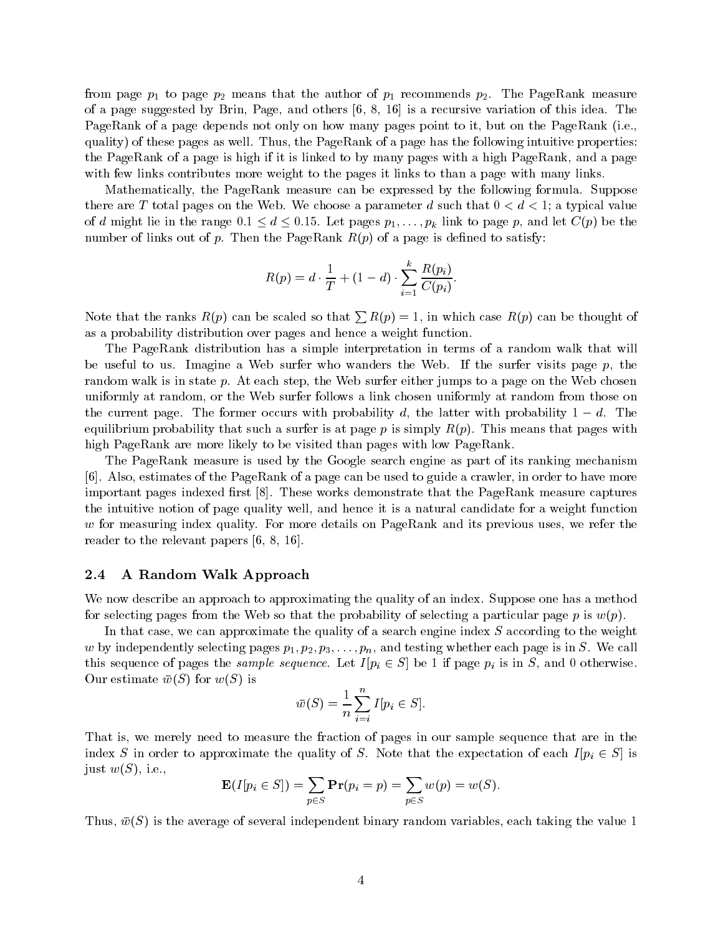from page  $p_1$  to page  $p_2$  means that the author of  $p_1$  recommends  $p_2$ . The PageRank measure of a page suggested by Brin, Page, and others [6, 8, 16] is a recursive variation of this idea. The PageRank of a page depends not only on how many pages point to it, but on the PageRank (i.e., quality) of these pages as well. Thus, the PageRank of a page has the following intuitive properties: the PageRank of a page is high if it is linked to by many pages with a high PageRank, and a page with few links contributes more weight to the pages it links to than a page with many links.

Mathematically, the PageRank measure can be expressed by the following formula. Suppose there are T total pages on the Web. We choose a parameter d such that  $0 < d < 1$ ; a typical value of d might lie in the range  $0.1 \leq d \leq 0.15$ . Let pages  $p_1, \ldots, p_k$  link to page p, and let  $C(p)$  be the number of links out of p. Then the PageRank  $R(p)$  of a page is defined to satisfy:

$$
R(p) = d \cdot \frac{1}{T} + (1 - d) \cdot \sum_{i=1}^{k} \frac{R(p_i)}{C(p_i)}.
$$

Note that the ranks  $R(p)$  can be scaled so that  $\sum R(p) = 1$ , in which case  $R(p)$  can be thought of as a probability distribution over pages and hence a weight function.

The PageRank distribution has a simple interpretation in terms of a random walk that will be useful to us. Imagine a Web surfer who wanders the Web. If the surfer visits page  $p$ , the random walk is in state  $p$ . At each step, the Web surfer either jumps to a page on the Web chosen uniformly at random, or the Web surfer follows a link chosen uniformly at random from those on the current page. The former occurs with probability d, the latter with probability  $1-d$ . The equilibrium probability that such a surfer is at page p is simply  $R(p)$ . This means that pages with high PageRank are more likely to be visited than pages with low PageRank.

The PageRank measure is used by the Google search engine as part of its ranking mechanism [6]. Also, estimates of the PageRank of a page can be used to guide a crawler, in order to have more important pages indexed first  $[8]$ . These works demonstrate that the PageRank measure captures the intuitive notion of page quality well, and hence it is a natural candidate for a weight function  $w$  for measuring index quality. For more details on PageRank and its previous uses, we refer the reader to the relevant papers [6, 8, 16].

#### 2.4 A Random Walk Approach

We now describe an approach to approximating the quality of an index. Suppose one has a method for selecting pages from the Web so that the probability of selecting a particular page p is  $w(p)$ .

In that case, we can approximate the quality of a search engine index S according to the weight w by independently selecting pages  $p_1, p_2, p_3, \ldots, p_n$ , and testing whether each page is in S. We call this sequence of pages the *sample sequence*. Let  $I[p_i \in S]$  be 1 if page  $p_i$  is in S, and 0 otherwise. Our estimate  $\bar{w}(S)$  for  $w(S)$  is

$$
\bar{w}(S) = \frac{1}{n} \sum_{i=i}^{n} I[p_i \in S].
$$

That is, we merely need to measure the fraction of pages in our sample sequence that are in the index S in order to approximate the quality of S. Note that the expectation of each  $I[p_i \in S]$  is just  $w(S)$ , i.e.,

$$
\mathbf{E}(I[p_i \in S]) = \sum_{p \in S} \mathbf{Pr}(p_i = p) = \sum_{p \in S} w(p) = w(S).
$$

Thus,  $\bar{w}(S)$  is the average of several independent binary random variables, each taking the value 1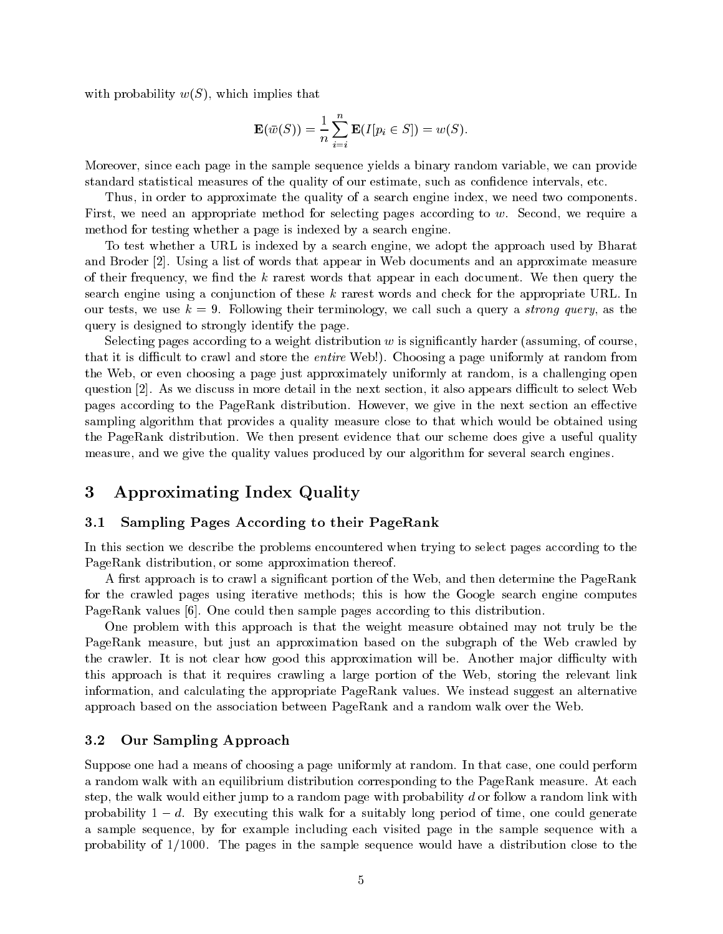with probability  $w(S)$ , which implies that

$$
\mathbf{E}(\bar{w}(S)) = \frac{1}{n} \sum_{i=i}^{n} \mathbf{E}(I[p_i \in S]) = w(S).
$$

Moreover, since each page in the sample sequence yields a binary random variable, we can provide standard statistical measures of the quality of our estimate, such as condence intervals, etc.

Thus, in order to approximate the quality of a search engine index, we need two components. First, we need an appropriate method for selecting pages according to w. Second, we require a method for testing whether a page is indexed by a search engine.

To test whether a URL is indexed by a search engine, we adopt the approach used by Bharat and Broder [2]. Using a list of words that appear in Web documents and an approximate measure of their frequency, we find the  $k$  rarest words that appear in each document. We then query the search engine using a conjunction of these <sup>k</sup> rarest words and check for the appropriate URL. In our tests, we use  $k = 9$ . Following their terminology, we call such a query a *strong query*, as the query is designed to strongly identify the page.

Selecting pages according to a weight distribution  $w$  is significantly harder (assuming, of course, that it is difficult to crawl and store the *entire* Web!). Choosing a page uniformly at random from the Web, or even choosing a page just approximately uniformly at random, is a challenging open question  $[2]$ . As we discuss in more detail in the next section, it also appears difficult to select Web pages according to the PageRank distribution. However, we give in the next section an effective sampling algorithm that provides a quality measure close to that which would be obtained using the PageRank distribution. We then present evidence that our scheme does give a useful quality measure, and we give the quality values produced by our algorithm for several search engines.

## 3 Approximating Index Quality

#### 3.1 Sampling Pages According to their PageRank

In this section we describe the problems encountered when trying to select pages according to the PageRank distribution, or some approximation thereof.

A first approach is to crawl a significant portion of the Web, and then determine the PageRank for the crawled pages using iterative methods; this is how the Google search engine computes PageRank values [6]. One could then sample pages according to this distribution.

One problem with this approach is that the weight measure obtained may not truly be the PageRank measure, but just an approximation based on the subgraph of the Web crawled by the crawler. It is not clear how good this approximation will be. Another major difficulty with this approach is that it requires crawling a large portion of the Web, storing the relevant link information, and calculating the appropriate PageRank values. We instead suggest an alternative approach based on the association between PageRank and a random walk over the Web.

### 3.2 Our Sampling Approach

Suppose one had a means of choosing a page uniformly at random. In that case, one could perform a random walk with an equilibrium distribution corresponding to the PageRank measure. At each step, the walk would either jump to a random page with probability  $d$  or follow a random link with probability  $1 - d$ . By executing this walk for a suitably long period of time, one could generate a sample sequence, by for example including each visited page in the sample sequence with a probability of  $1/1000$ . The pages in the sample sequence would have a distribution close to the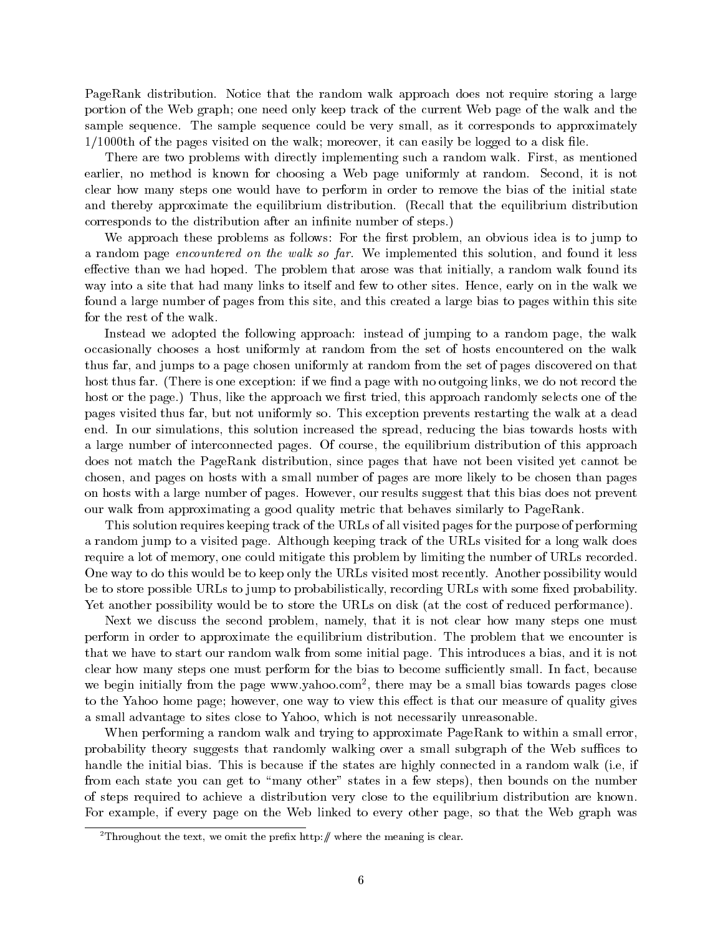PageRank distribution. Notice that the random walk approach does not require storing a large portion of the Web graph; one need only keep track of the current Web page of the walk and the sample sequence. The sample sequence could be very small, as it corresponds to approximately  $1/1000$ th of the pages visited on the walk; moreover, it can easily be logged to a disk file.

There are two problems with directly implementing such a random walk. First, as mentioned earlier, no method is known for choosing a Web page uniformly at random. Second, it is not clear how many steps one would have to perform in order to remove the bias of the initial state and thereby approximate the equilibrium distribution. (Recall that the equilibrium distribution corresponds to the distribution after an infinite number of steps.)

We approach these problems as follows: For the first problem, an obvious idea is to jump to a random page encountered on the walk so far. We implemented this solution, and found it less effective than we had hoped. The problem that arose was that initially, a random walk found its way into a site that had many links to itself and few to other sites. Hence, early on in the walk we found a large number of pages from this site, and this created a large bias to pages within this site for the rest of the walk.

Instead we adopted the following approach: instead of jumping to a random page, the walk occasionally chooses a host uniformly at random from the set of hosts encountered on the walk thus far, and jumps to a page chosen uniformly at random from the set of pages discovered on that host thus far. (There is one exception: if we find a page with no outgoing links, we do not record the host or the page.) Thus, like the approach we first tried, this approach randomly selects one of the pages visited thus far, but not uniformly so. This exception prevents restarting the walk at a dead end. In our simulations, this solution increased the spread, reducing the bias towards hosts with a large number of interconnected pages. Of course, the equilibrium distribution of this approach does not match the PageRank distribution, since pages that have not been visited yet cannot be chosen, and pages on hosts with a small number of pages are more likely to be chosen than pages on hosts with a large number of pages. However, our results suggest that this bias does not prevent our walk from approximating a good quality metric that behaves similarly to PageRank.

This solution requires keeping track of the URLs of all visited pages for the purpose of performing a random jump to a visited page. Although keeping track of the URLs visited for a long walk does require a lot of memory, one could mitigate this problem by limiting the number of URLs recorded. One way to do this would be to keep only the URLs visited most recently. Another possibility would be to store possible URLs to jump to probabilistically, recording URLs with some fixed probability. Yet another possibility would be to store the URLs on disk (at the cost of reduced performance).

Next we discuss the second problem, namely, that it is not clear how many steps one must perform in order to approximate the equilibrium distribution. The problem that we encounter is that we have to start our random walk from some initial page. This introduces a bias, and it is not clear how many steps one must perform for the bias to become sufficiently small. In fact, because we begin initially from the page www.yahoo.com-, there may be a small bias towards pages close to the Yahoo home page; however, one way to view this effect is that our measure of quality gives a small advantage to sites close to Yahoo, which is not necessarily unreasonable.

When performing a random walk and trying to approximate PageRank to within a small error. probability theory suggests that randomly walking over a small subgraph of the Web suffices to handle the initial bias. This is because if the states are highly connected in a random walk (i.e, if from each state you can get to "many other" states in a few steps), then bounds on the number of steps required to achieve a distribution very close to the equilibrium distribution are known. For example, if every page on the Web linked to every other page, so that the Web graph was

<sup>&</sup>lt;sup>2</sup>Throughout the text, we omit the prefix http:// where the meaning is clear.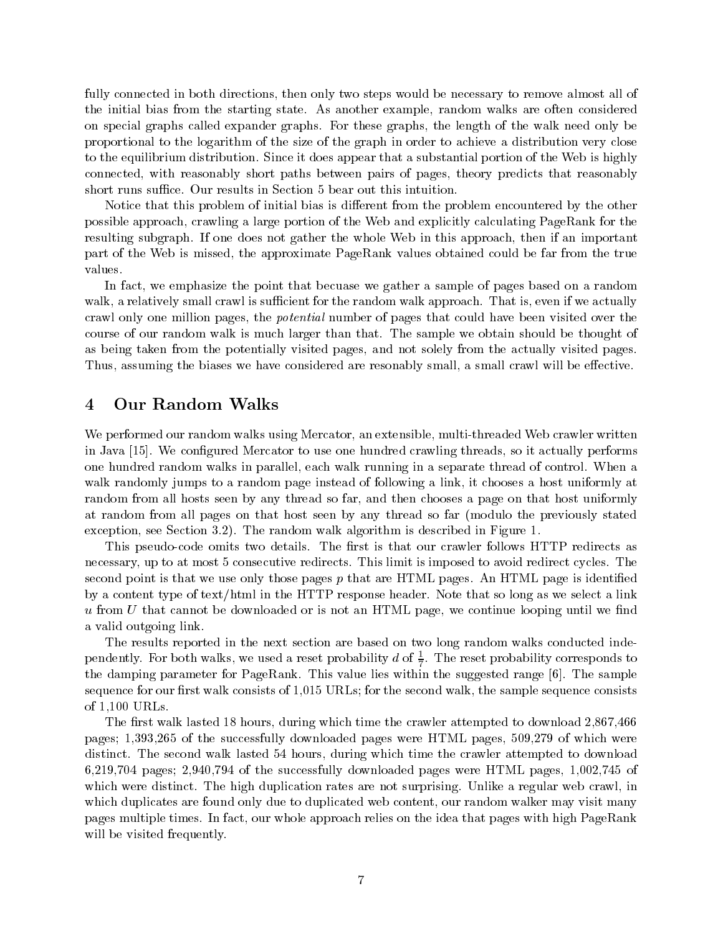fully connected in both directions, then only two steps would be necessary to remove almost all of the initial bias from the starting state. As another example, random walks are often considered on special graphs called expander graphs. For these graphs, the length of the walk need only be proportional to the logarithm of the size of the graph in order to achieve a distribution very close to the equilibrium distribution. Since it does appear that a substantial portion of the Web is highly connected, with reasonably short paths between pairs of pages, theory predicts that reasonably short runs suffice. Our results in Section 5 bear out this intuition.

Notice that this problem of initial bias is different from the problem encountered by the other possible approach, crawling a large portion of the Web and explicitly calculating PageRank for the resulting subgraph. If one does not gather the whole Web in this approach, then if an important part of the Web is missed, the approximate PageRank values obtained could be far from the true values.

In fact, we emphasize the point that becuase we gather a sample of pages based on a random walk, a relatively small crawl is sufficient for the random walk approach. That is, even if we actually crawl only one million pages, the potential number of pages that could have been visited over the course of our random walk is much larger than that. The sample we obtain should be thought of as being taken from the potentially visited pages, and not solely from the actually visited pages. Thus, assuming the biases we have considered are resonably small, a small crawl will be effective.

## 4 Our Random Walks

We performed our random walks using Mercator, an extensible, multi-threaded Web crawler written in Java [15]. We congured Mercator to use one hundred crawling threads, so it actually performs one hundred random walks in parallel, each walk running in a separate thread of control. When a walk randomly jumps to a random page instead of following a link, it chooses a host uniformly at random from all hosts seen by any thread so far, and then chooses a page on that host uniformly at random from all pages on that host seen by any thread so far (modulo the previously stated exception, see Section 3.2). The random walk algorithm is described in Figure 1.

This pseudo-code omits two details. The first is that our crawler follows HTTP redirects as necessary, up to at most 5 consecutive redirects. This limit is imposed to avoid redirect cycles. The second point is that we use only those pages p that are HTML pages. An HTML page is identified by a content type of text/html in the HTTP response header. Note that so long as we select a link  $u$  from  $U$  that cannot be downloaded or is not an HTML page, we continue looping until we find a valid outgoing link.

The results reported in the next section are based on two long random walks conducted independently. For both walks, we used a reset probability  $a$  of  $\frac{1}{7}$ . The reset probability corresponds to the damping parameter for PageRank. This value lies within the suggested range [6]. The sample sequence for our first walk consists of 1,015 URLs; for the second walk, the sample sequence consists of 1,100 URLs.

The first walk lasted 18 hours, during which time the crawler attempted to download 2,867,466 pages; 1,393,265 of the successfully downloaded pages were HTML pages, 509,279 of which were distinct. The second walk lasted 54 hours, during which time the crawler attempted to download 6,219,704 pages; 2,940,794 of the successfully downloaded pages were HTML pages, 1,002,745 of which were distinct. The high duplication rates are not surprising. Unlike a regular web crawl, in which duplicates are found only due to duplicated web content, our random walker may visit many pages multiple times. In fact, our whole approach relies on the idea that pages with high PageRank will be visited frequently.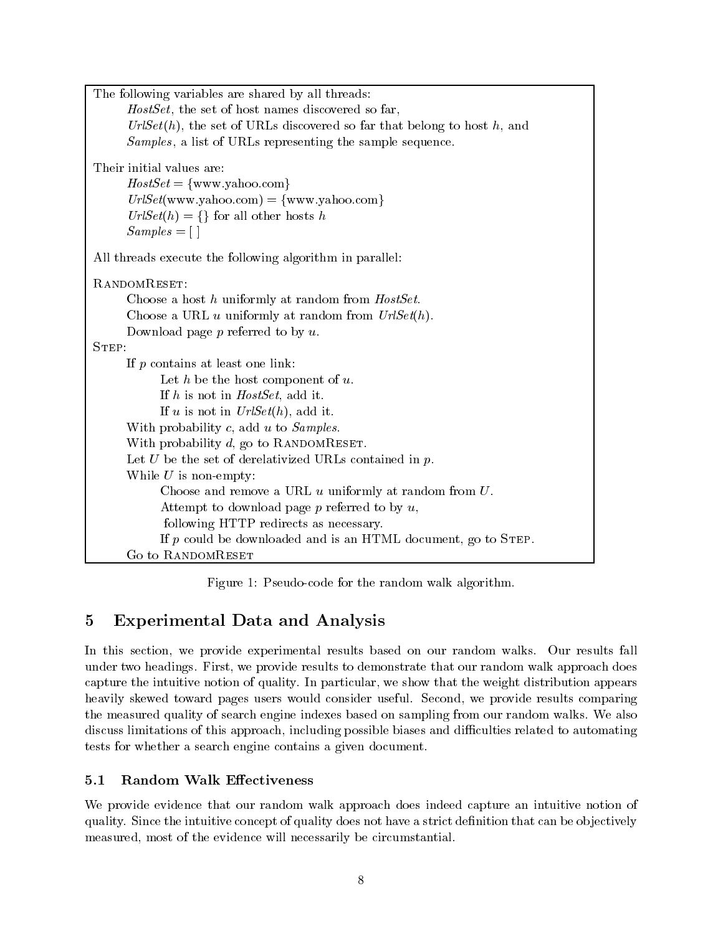| The following variables are shared by all threads:                         |
|----------------------------------------------------------------------------|
| <i>HostSet</i> , the set of host names discovered so far,                  |
| $UrlSet(h)$ , the set of URLs discovered so far that belong to host h, and |
| <i>Samples</i> , a list of URLs representing the sample sequence.          |
| Their initial values are:                                                  |
| $HostSet = \{www.yahoo.com\}$                                              |
| $UrlSet(\text{www.yahoo.com}) = {\text{www.yahoo.com}}$                    |
| $UrlSet(h) = \{\}$ for all other hosts h                                   |
| $Samples = [ ]$                                                            |
| All threads execute the following algorithm in parallel:                   |
| RANDOMRESET:                                                               |
| Choose a host h uniformly at random from <i>HostSet</i> .                  |
| Choose a URL u uniformly at random from $UrlSet(h)$ .                      |
| Download page $p$ referred to by $u$ .                                     |
| STEP:                                                                      |
| If $p$ contains at least one link:                                         |
| Let $h$ be the host component of $u$ .                                     |
| If h is not in <i>HostSet</i> , add it.                                    |
| If u is not in $UrlSet(h)$ , add it.                                       |
| With probability $c$ , add $u$ to Samples.                                 |
| With probability $d$ , go to RANDOMRESET.                                  |
| Let $U$ be the set of derelativized URLs contained in $p$ .                |
| While $U$ is non-empty:                                                    |
| Choose and remove a URL $u$ uniformly at random from $U$ .                 |
| Attempt to download page $p$ referred to by $u$ ,                          |
| following HTTP redirects as necessary.                                     |
| If $p$ could be downloaded and is an HTML document, go to STEP.            |
| Go to RANDOMRESET                                                          |

Figure 1: Pseudo-code for the random walk algorithm.

# 5 Experimental Data and Analysis

In this section, we provide experimental results based on our random walks. Our results fall under two headings. First, we provide results to demonstrate that our random walk approach does capture the intuitive notion of quality. In particular, we show that the weight distribution appears heavily skewed toward pages users would consider useful. Second, we provide results comparing the measured quality of search engine indexes based on sampling from our random walks. We also discuss limitations of this approach, including possible biases and difficulties related to automating tests for whether a search engine contains a given document.

## 5.1 Random Walk Effectiveness

We provide evidence that our random walk approach does indeed capture an intuitive notion of quality. Since the intuitive concept of quality does not have a strict definition that can be objectively measured, most of the evidence will necessarily be circumstantial.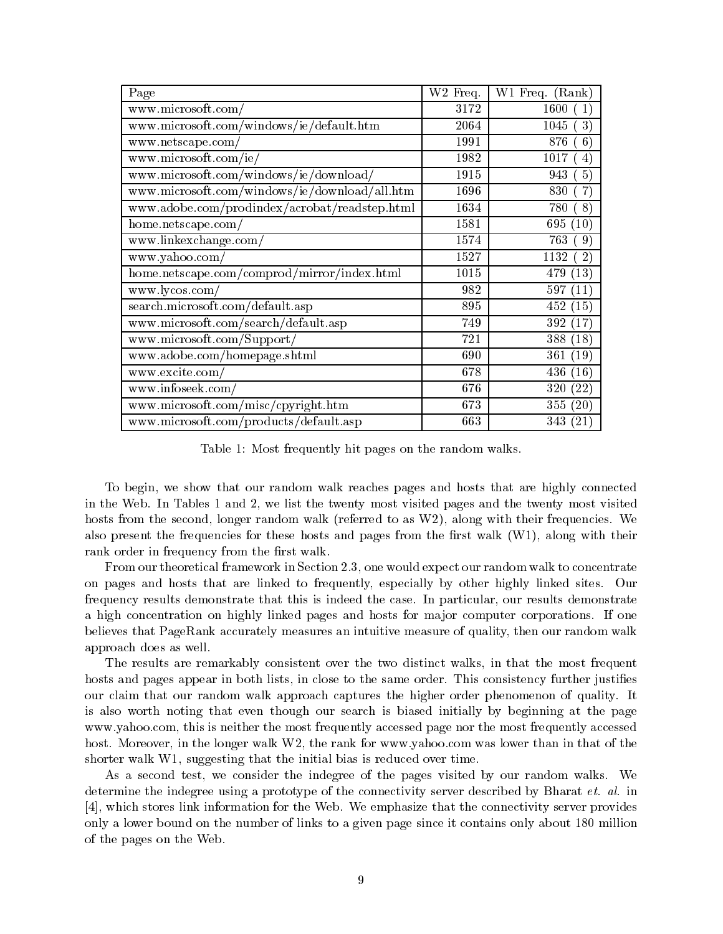| Page                                          | W <sub>2</sub> Freq. | W1 Freq. (Rank)                |
|-----------------------------------------------|----------------------|--------------------------------|
| www.microsoft.com/                            | 3172                 | 1600<br>$1^{\circ}$            |
| www.microsoft.com/windows/ie/default.htm      | 2064                 | 3)<br>1045                     |
| www.netscape.com/                             | 1991                 | 6 <sup>°</sup><br>876          |
| www.microsoft.com/ie/                         | 1982                 | $\left( 4\right)$<br>1017      |
| www.microsoft.com/windows/ie/download/        | 1915                 | 5 <sup>°</sup><br>943          |
| www.microsoft.com/windows/ie/download/all.htm | 1696                 | $\left( 7\right)$<br>830       |
| www.adobe.com/prodindex/acrobat/readstep.html | 1634                 | 8<br>780                       |
| home.netscape.com/                            | 1581                 | 10 <sup>°</sup><br>695         |
| www.linkexchange.com/                         | 1574                 | $9^{\circ}$<br>763             |
| www.yahoo.com/                                | 1527                 | $2^{\circ}$<br>1132            |
| home.netscape.com/comprod/mirror/index.html   | 1015                 | $ 13\rangle$<br>479            |
| www.lycos.com/                                | 982                  | 597<br>$\left 11\right\rangle$ |
| search.microsoft.com/default.asp              | 895                  | $\left(15\right)$<br>452       |
| www.microsoft.com/search/default.asp          | 749                  | 392<br>$ 17\rangle$            |
| www.microsoft.com/Support/                    | 721                  | $ 18\rangle$<br>388            |
| www.adobe.com/homepage.shtml                  | 690                  | 19 <sup>°</sup><br>361         |
| www.excite.com/                               | 678                  | 436<br>$ 16\rangle$            |
| www.infoseek.com/                             | 676                  | $^{'}22)$<br>320               |
| www.microsoft.com/misc/cpyright.htm           | 673                  | $\left( 20\right)$<br>355      |
| www.microsoft.com/products/default.asp        | 663                  | $\left( 21\right)$<br>343      |

Table 1: Most frequently hit pages on the random walks.

To begin, we show that our random walk reaches pages and hosts that are highly connected in the Web. In Tables 1 and 2, we list the twenty most visited pages and the twenty most visited hosts from the second, longer random walk (referred to as  $W2$ ), along with their frequencies. We also present the frequencies for these hosts and pages from the first walk  $(W1)$ , along with their rank order in frequency from the first walk.

From our theoretical framework in Section 2.3, one would expect our random walk to concentrate on pages and hosts that are linked to frequently, especially by other highly linked sites. Our frequency results demonstrate that this is indeed the case. In particular, our results demonstrate a high concentration on highly linked pages and hosts for major computer corporations. If one believes that PageRank accurately measures an intuitive measure of quality, then our random walk approach does as well.

The results are remarkably consistent over the two distinct walks, in that the most frequent hosts and pages appear in both lists, in close to the same order. This consistency further justifies our claim that our random walk approach captures the higher order phenomenon of quality. It is also worth noting that even though our search isbiased initially by beginning at the page www.yahoo.com, this is neither the most frequently accessed page nor the most frequently accessed host. Moreover, in the longer walk W2, the rank for www.yahoo.com was lower than in that of the shorter walk W1, suggesting that the initial bias is reduced over time.

As a second test, we consider the indegree of the pages visited by our random walks. We determine the indegree using a prototype of the connectivity server described by Bharat *et. al.* in [4], which stores link information for the Web. We emphasize that the connectivity server provides only a lower bound on the number of links to a given page since it contains only about 180 million of the pages on the Web.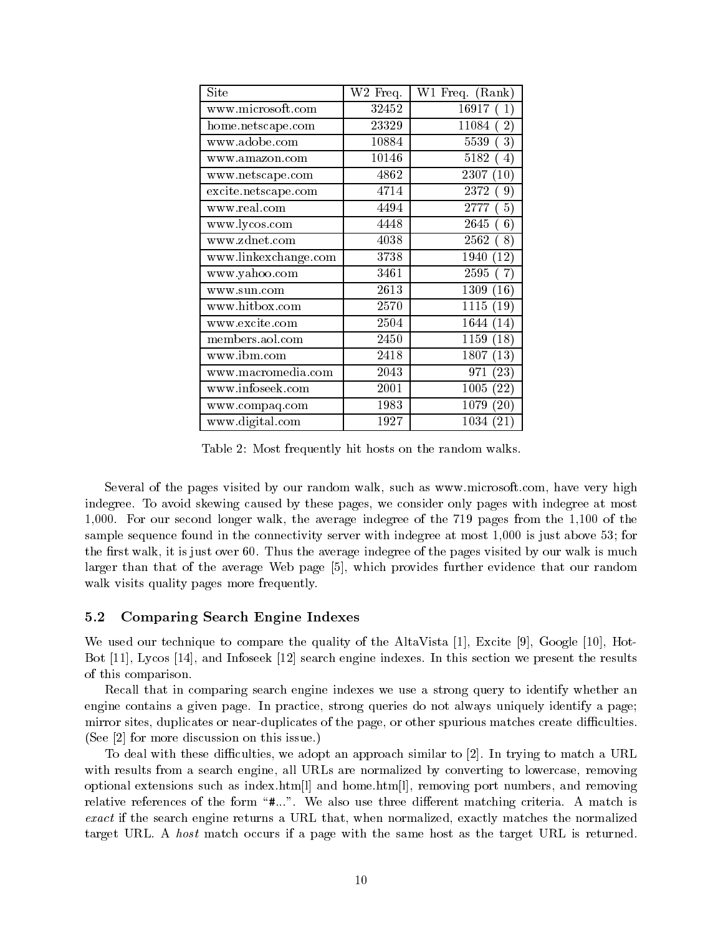| Site                                  | W2 Freq. | W1 Freq. (Rank)           |
|---------------------------------------|----------|---------------------------|
| $\overline{\text{www.microsoft.com}}$ | 32452    | 16917<br>1)               |
| home.netscape.com                     | 23329    | 2)<br>11084               |
| www.adobe.com                         | 10884    | 3)<br>5539                |
| www.amazon.com                        | 10146    | 5182<br>4)                |
| www.netscape.com                      | 4862     | 2307<br>10 <sup>°</sup>   |
| excite.netscape.com                   | 4714     | 2372<br>9 <sup>°</sup>    |
| www.real.com                          | 4494     | 2777<br>5 <sup>°</sup>    |
| www.lycos.com                         | 4448     | 2645<br>6 <sup>2</sup>    |
| www.zdnet.com                         | 4038     | 8)<br>2562                |
| www.linkexchange.com                  | 3738     | 1940<br>$ 12\rangle$      |
| www.yahoo.com                         | 3461     | 2595<br>7)                |
| www.sun.com                           | 2613     | 1309<br>16)               |
| www.hitbox.com                        | 2570     | 1115<br>19 <sup>°</sup>   |
| www.excite.com                        | 2504     | 1644<br>14)               |
| members.aol.com                       | 2450     | 1159<br>18)               |
| www.ibm.com                           | 2418     | 1807<br>13)               |
| www.macromedia.com                    | 2043     | 971<br>23)                |
| www.infoseek.com                      | 2001     | 1005<br>$22^{\degree}$    |
| www.compaq.com                        | 1983     | 1079<br>$\left[20\right]$ |
| www.digital.com                       | 1927     | 1034<br>21                |

Table 2: Most frequently hit hosts on the random walks.

Several of the pages visited by our random walk, such aswww.microsoft.com, have very high indegree. To avoid skewing caused by these pages, we consider only pages with indegree at most 1,000. For our second longer walk, the average indegree of the 719 pages from the 1,100 of the sample sequence found in the connectivity server with indegree at most 1,000 is just above 53; for the first walk, it is just over 60. Thus the average indegree of the pages visited by our walk is much larger than that of the average Web page [5], which provides further evidence that our random walk visits quality pages more frequently.

### 5.2 Comparing Search Engine Indexes

We used our technique to compare the quality of the AltaVista [1], Excite [9], Google [10], Hot-Bot [11], Lycos [14], and Infoseek [12] search engine indexes. In this section we present the results of this comparison.

Recall that in comparing search engine indexes we use a strong query to identify whether an engine contains a given page. In practice, strong queries do not always uniquely identify a page; mirror sites, duplicates or near-duplicates of the page, or other spurious matches create difficulties. (See [2] for more discussion on this issue.)

To deal with these difficulties, we adopt an approach similar to [2]. In trying to match a URL with results from a search engine, all URLs are normalized by converting to lowercase, removing optional extensions such as index.htm[l] and home.htm[l], removing port numbers, and removing relative references of the form "#...". We also use three different matching criteria. A match is exact if the search engine returns a URL that, when normalized, exactly matches the normalized target URL. A host match occurs if a page with the same host as the target URL is returned.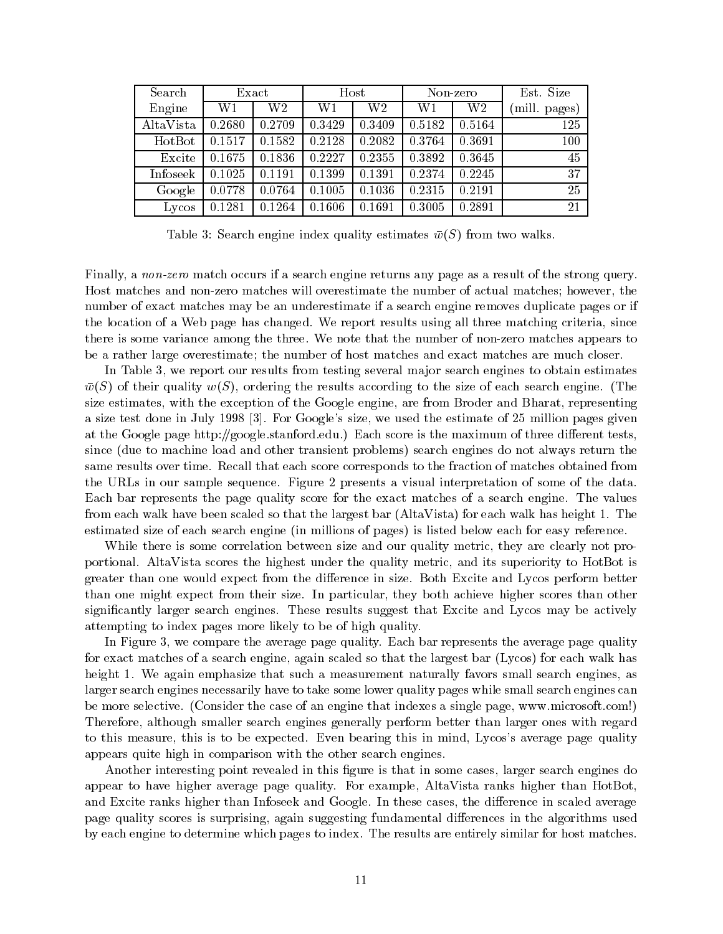| Search    |        | Exact  | Host   |        | Non-zero |                | Est. Size    |
|-----------|--------|--------|--------|--------|----------|----------------|--------------|
| Engine    | W1     | W2     | W1     | W2     | W1       | W <sub>2</sub> | mill. pages) |
| AltaVista | 0.2680 | 0.2709 | 0.3429 | 0.3409 | 0.5182   | 0.5164         | 125          |
| HotBot    | 0.1517 | 0.1582 | 0.2128 | 0.2082 | 0.3764   | 0.3691         | 100          |
| Excite    | 0.1675 | 0.1836 | 0.2227 | 0.2355 | 0.3892   | 0.3645         | 45           |
| Infoseek  | 0.1025 | 0.1191 | 0.1399 | 0.1391 | 0.2374   | 0.2245         | 37           |
| Google    | 0.0778 | 0.0764 | 0.1005 | 0.1036 | 0.2315   | 0.2191         | 25           |
| Lycos     | 0.1281 | 0.1264 | 0.1606 | 0.1691 | 0.3005   | 0.2891         | 21           |

Table 3: Search engine index quality estimates  $\bar{w}(S)$  from two walks.

Finally, a non-zero match occurs if a search engine returns any page as a result of the strong query. Host matches and non-zero matches will overestimate the number of actual matches; however, the number of exact matches may be an underestimate if a search engine removes duplicate pages or if the location of a Web page has changed. We report results using all three matching criteria, since there is some variance among the three. We note that the number of non-zero matches appears to be a rather large overestimate; the number of host matches and exact matches are much closer.

In Table 3, we report our results from testing several major search engines to obtain estimates  $\bar{w}(S)$  of their quality  $w(S)$ , ordering the results according to the size of each search engine. (The size estimates, with the exception of the Google engine, are from Broder and Bharat, representing a size test done in July 1998 [3]. For Google's size, we used the estimate of 25 million pages given at the Google page http://google.stanford.edu.) Each score is the maximum of three different tests. since (due to machine load and other transient problems) search engines do not always return the same results over time. Recall that each score corresponds to the fraction of matches obtained from the URLs in our sample sequence. Figure 2 presents a visual interpretation of some of the data. Each bar represents the page quality score for the exact matches of a search engine. The values from each walk have been scaled so that the largest bar (AltaVista) for each walk has height 1. The estimated size of each search engine (in millions of pages) is listed below each for easy reference.

While there is some correlation between size and our quality metric, they are clearly not proportional. AltaVista scores the highest under the quality metric, and its superiority to HotBot is greater than one would expect from the difference in size. Both Excite and Lycos perform better than one might expect from their size. In particular, they both achieve higher scores than other signicantly larger search engines. These results suggest that Excite and Lycos may be actively attempting to index pages more likely to be of high quality.

In Figure 3, we compare the average page quality. Each bar represents the average page quality for exact matches of a search engine, again scaled so that the largest bar (Lycos) for each walk has height 1. We again emphasize that such a measurement naturally favors small search engines, as larger search engines necessarily have to take some lower quality pages while small search engines can be more selective. (Consider the case of an engine that indexes a single page, www.microsoft.com!) Therefore, although smaller search engines generally perform better than larger ones with regard to this measure, this is to be expected. Even bearing this in mind, Lycos's average page quality appears quite high in comparison with the other search engines.

Another interesting point revealed in this figure is that in some cases, larger search engines do appear to have higher average page quality. For example, AltaVista ranks higher than HotBot, and Excite ranks higher than Infoseek and Google. In these cases, the difference in scaled average page quality scores is surprising, again suggesting fundamental differences in the algorithms used by each engine to determine which pages to index. The results are entirely similar for host matches.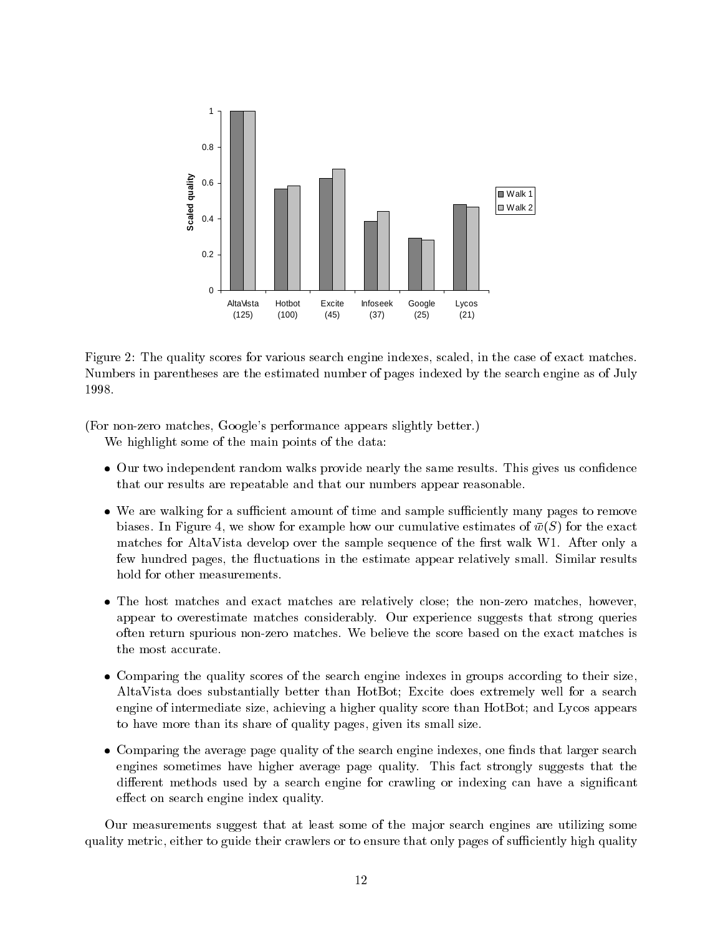

Figure 2: The quality scores for various search engine indexes, scaled, in the case of exact matches. Numbers in parentheses are the estimated number of pages indexed by the search engine as of July 1998.

(For non-zero matches, Google's performance appears slightly better.)

We highlight some of the main points of the data:

- $\bullet\,$  Our two independent random walks provide nearly the same results. This gives us confidence that our results are repeatable and that our numbers appear reasonable.
- $\bullet$  We are walking for a sufficient amount of time and sample sufficiently many pages to remove biases. In Figure 4, we show for example how our cumulative estimates of  $\bar{w}(S)$  for the exact matches for AltaVista develop over the sample sequence of the first walk W1. After only a few hundred pages, the fluctuations in the estimate appear relatively small. Similar results hold for other measurements.
- $\bullet$  The host matches and exact matches are relatively close; the non-zero matches, however, appear to overestimate matches considerably. Our experience suggests that strong queries often return spurious non-zero matches. We believe the score based on the exact matches is the most accurate.
- $\bullet$  Comparing the quality scores of the search engine indexes in groups according to their size, AltaVista does substantially better than HotBot; Excite does extremely well for a search engine of intermediate size, achieving a higher quality score than HotBot; and Lycos appears to have more than its share of quality pages, given its small size.
- $\bullet$  Comparing the average page quality of the search engine indexes, one finds that larger search  $\bullet$ engines sometimes have higher average page quality. This fact strongly suggests that the different methods used by a search engine for crawling or indexing can have a significant effect on search engine index quality.

Our measurements suggest that at least some of the ma jor search engines are utilizing some quality metric, either to guide their crawlers or to ensure that only pages of sufficiently high quality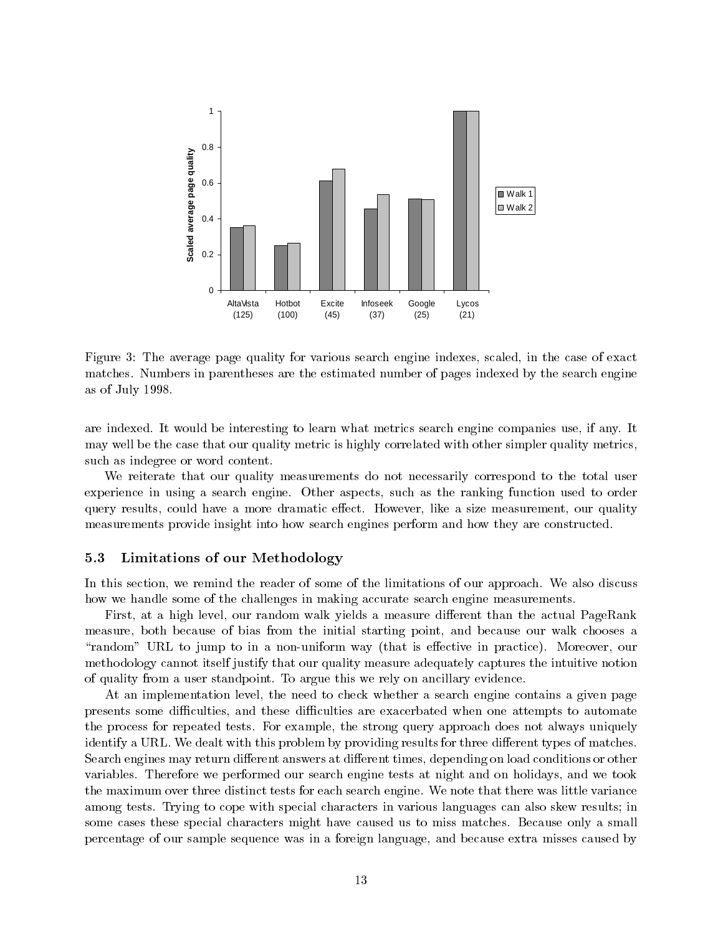

Figure 3: The average page quality for various search engine indexes, scaled, in the case of exact matches. Numbers in parentheses are the estimated number of pages indexed by the search engine as of July 1998.

are indexed. It would be interesting to learn what metrics search engine companies use, if any. It may well be the case that our quality metric is highly correlated with other simpler quality metrics, such as indegree or word content.

We reiterate that our quality measurements do not necessarily correspond to the total user experience in using a search engine. Other aspects, such as the ranking function used to order query results, could have a more dramatic effect. However, like a size measurement, our quality measurements provide insight into how search engines perform and how they are constructed.

### 5.3 Limitations of our Methodology

In this section, we remind the reader of some of the limitations of our approach. We also discuss how we handle some of the challenges in making accurate search engine measurements.

First, at a high level, our random walk yields a measure different than the actual PageRank measure, both because of bias from the initial starting point, and because our walk chooses a "random" URL to jump to in a non-uniform way (that is effective in practice). Moreover, our methodology cannot itself justify that our quality measure adequately captures the intuitive notion of quality from a user standpoint. To argue this we rely on ancillary evidence.

At an implementation level, the need to check whether a search engine contains a given page presents some difficulties, and these difficulties are exacerbated when one attempts to automate the process for repeated tests. For example, the strong query approach does not always uniquely identify a URL. We dealt with this problem by providing results for three different types of matches. Search engines may return different answers at different times, depending on load conditions or other variables. Therefore we performed our search engine tests at night and on holidays, and we took the maximum over three distinct tests for each search engine. We note that there was little variance among tests. Trying to cope with special characters in various languages can also skew results; in some cases these special characters might have caused us to miss matches. Because only a small percentage of our sample sequence was in a foreign language, and because extra misses caused by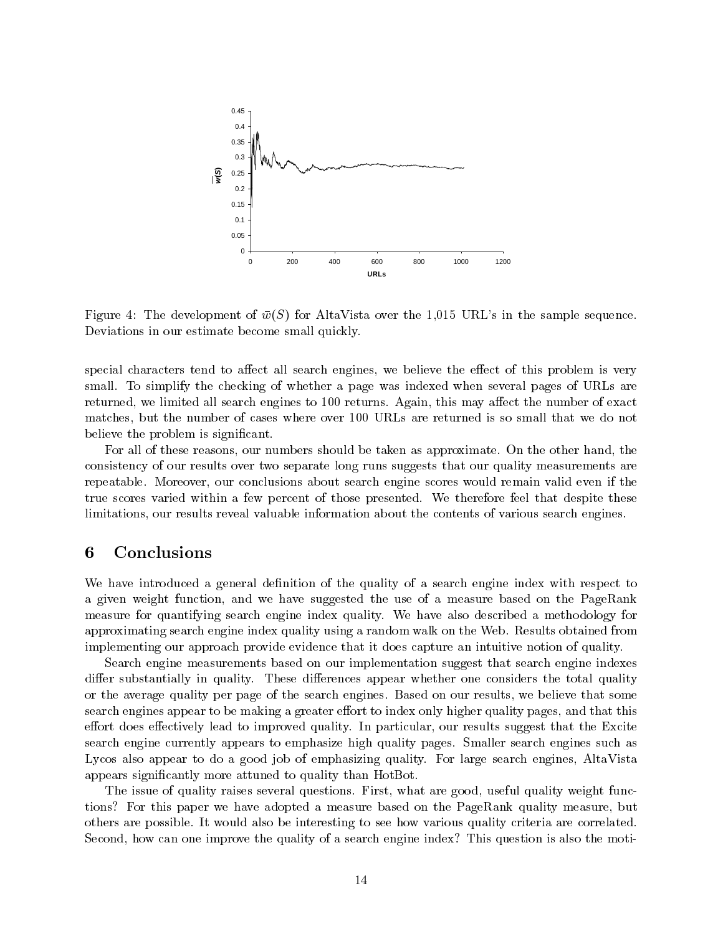

Figure 4: The development of  $\bar{w}(S)$  for AltaVista over the 1,015 URL's in the sample sequence. Deviations in our estimate become small quickly.

special characters tend to affect all search engines, we believe the effect of this problem is very small. To simplify the checking of whether a page was indexed when several pages of URLs are returned, we limited all search engines to 100 returns. Again, this may affect the number of exact matches, but the number of cases where over 100 URLs are returned is so small that we do not believe the problem is signicant.

For all of these reasons, our numbers should be taken as approximate. On the other hand, the consistency of our results over two separate long runs suggests that our quality measurements are repeatable. Moreover, our conclusions about search engine scores would remain valid even if the true scores varied within a few percent of those presented. We therefore feel that despite these limitations, our results reveal valuable information about the contents of various search engines.

#### 6 **Conclusions**

We have introduced a general definition of the quality of a search engine index with respect to a given weight function, and we have suggested the use of a measure based on the PageRank measure for quantifying search engine index quality. We have also described a methodology for approximating search engine index quality using a random walk on the Web. Results obtained from implementing our approach provide evidence that it does capture an intuitive notion of quality.

Search engine measurements based on our implementation suggest that search engine indexes differ substantially in quality. These differences appear whether one considers the total quality or the average quality per page of the search engines. Based on our results, we believe that some search engines appear to be making a greater effort to index only higher quality pages, and that this effort does effectively lead to improved quality. In particular, our results suggest that the Excite search engine currently appears to emphasize high quality pages. Smaller search engines such as Lycos also appear to do a good job of emphasizing quality. For large search engines, AltaVista appears signicantly more attuned to quality than HotBot.

The issue of quality raises several questions. First, what are good, useful quality weight functions? For this paper we have adopted a measure based on the PageRank quality measure, but others are possible. It would also be interesting to see how various quality criteria are correlated. Second, how can one improve the quality of a search engine index? This question is also the moti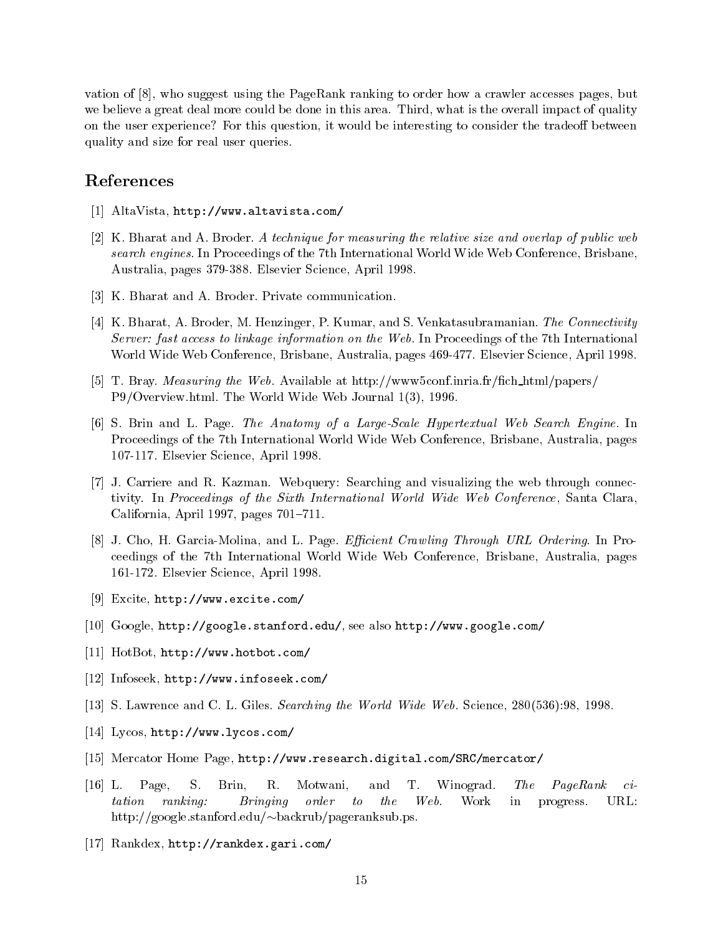vation of [8], who suggest using the PageRank ranking to order how a crawler accesses pages, but we believe a great deal more could be done in this area. Third, what is the overall impact of quality on the user experience? For this question, it would be interesting to consider the tradeoff between quality and size for real user queries.

## References

- [1] AltaVista, http://www.altavista.com/
- [2] K. Bharat and A. Broder. A technique for measuring the relative size and overlap of public web search engines. In Proceedings of the 7th International World Wide Web Conference, Brisbane, Australia, pages 379-388. Elsevier Science, April 1998.
- [3] K. Bharat and A. Broder. Private communication.
- [4] K. Bharat, A. Broder, M. Henzinger, P. Kumar, and S. Venkatasubramanian. The Connectivity Server: fast access to linkage information on the Web. In Proceedings of the 7th International World Wide Web Conference, Brisbane, Australia, pages 469-477. Elsevier Science, April 1998.
- [5] T. Bray. *Measuring the Web.* Available at http://www5conf.inria.fr/fich\_html/papers/ P9/Overview.html. The World Wide Web Journal 1(3), 1996.
- [6] S. Brin and L. Page. The Anatomy of a Large-Scale Hypertextual Web Search Engine. In Proceedings of the 7th International World Wide Web Conference, Brisbane, Australia, pages 107-117. Elsevier Science, April 1998.
- [7] J. Carriere and R. Kazman. Webquery: Searching and visualizing the web through connectivity. In Proceedings of the Sixth International World Wide Web Conference, Santa Clara, California, April 1997, pages  $701-711$ .
- [8] J. Cho, H. Garcia-Molina, and L. Page. *Efficient Crawling Through URL Ordering*. In Proceedings of the 7th International World Wide Web Conference, Brisbane, Australia, pages 161-172. Elsevier Science, April 1998.
- [9] Excite, http://www.excite.com/
- [10] Google, http://google.stanford.edu/, see also http://www.google.com/
- [11] HotBot, http://www.hotbot.com/
- [12] Infoseek, http://www.infoseek.com/
- [13] S. Lawrence and C. L. Giles. Searching the World Wide Web. Science, 280(536):98, 1998.
- [14] Lycos, http://www.lycos.com/
- [15] Mercator Home Page, http://www.research.digital.com/SRC/mercator/
- [16] L. Page, S. Brin, R. Motwani, and T. Winograd. The PageRank ci-Т.  $the$ Work in tation ranking: Bringing order to the Web. Work in progress. URL: http://google.stanford.edu/ $\sim$ backrub/pageranksub.ps.
- [17] Rankdex, http://rankdex.gari.com/